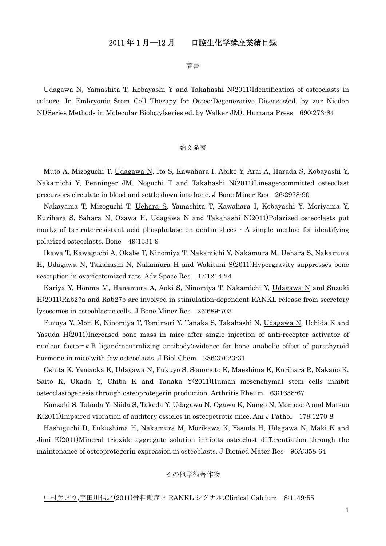# 2011 年 1 月―12 月 口腔生化学講座業績目録

著書

Udagawa N, Yamashita T, Kobayashi Y and Takahashi N(2011)Identification of osteoclasts in culture. In Embryonic Stem Cell Therapy for Osteo-Degenerative Diseases(ed. by zur Nieden NI)Series Methods in Molecular Biology(series ed. by Walker JM). Humana Press 690:273-84

## 論文発表

Muto A, Mizoguchi T, Udagawa N, Ito S, Kawahara I, Abiko Y, Arai A, Harada S, Kobayashi Y, Nakamichi Y, Penninger JM, Noguchi T and Takahashi N(2011)Lineage-committed osteoclast precursors circulate in blood and settle down into bone. J Bone Miner Res 26:2978-90

Nakayama T, Mizoguchi T, Uehara S, Yamashita T, Kawahara I, Kobayashi Y, Moriyama Y, Kurihara S, Sahara N, Ozawa H, Udagawa N and Takahashi N(2011)Polarized osteoclasts put marks of tartrate-resistant acid phosphatase on dentin slices - A simple method for identifying polarized osteoclasts. Bone 49:1331-9

Ikawa T, Kawaguchi A, Okabe T, Ninomiya T, Nakamichi Y, Nakamura M, Uehara S, Nakamura H, Udagawa N, Takahashi N, Nakamura H and Wakitani S(2011)Hypergravity suppresses bone resorption in ovariectomized rats. Adv Space Res 47:1214-24

Kariya Y, Honma M, Hanamura A, Aoki S, Ninomiya T, Nakamichi Y, Udagawa N and Suzuki H(2011)Rab27a and Rab27b are involved in stimulation-dependent RANKL release from secretory lysosomes in osteoblastic cells. J Bone Miner Res 26:689-703

Furuya Y, Mori K, Ninomiya T, Tomimori Y, Tanaka S, Takahashi N, Udagawa N, Uchida K and Yasuda H(2011)Increased bone mass in mice after single injection of anti-receptor activator of nuclear factor-κB ligand-neutralizing antibody:evidence for bone anabolic effect of parathyroid hormone in mice with few osteoclasts. J Biol Chem 286:37023-31

Oshita K, Yamaoka K, Udagawa N, Fukuyo S, Sonomoto K, Maeshima K, Kurihara R, Nakano K, Saito K, Okada Y, Chiba K and Tanaka Y(2011)Human mesenchymal stem cells inhibit osteoclastogenesis through osteoprotegerin production. Arthritis Rheum 63:1658-67

Kanzaki S, Takada Y, Niida S, Takeda Y, Udagawa N, Ogawa K, Nango N, Momose A and Matsuo K(2011)Impaired vibration of auditory ossicles in osteopetrotic mice. Am J Pathol 178:1270-8

Hashiguchi D, Fukushima H, Nakamura M, Morikawa K, Yasuda H, Udagawa N, Maki K and Jimi E(2011)Mineral trioxide aggregate solution inhibits osteoclast differentiation through the maintenance of osteoprotegerin expression in osteoblasts. J Biomed Mater Res 96A:358-64

## その他学術著作物

### 中村美どり,宇田川信之(2011)骨粗鬆症と RANKL シグナル.Clinical Calcium 8:1149-55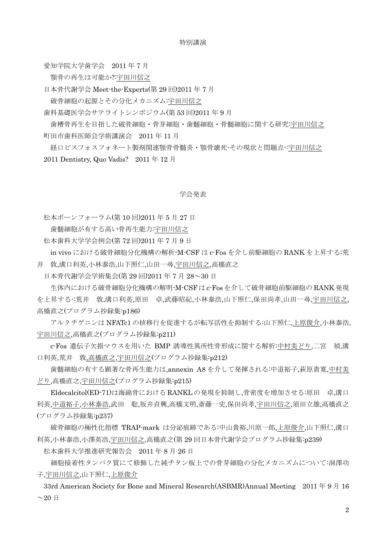#### 特別講演

愛知学院大学歯学会 2011 年 7 月

顎骨の再生は可能か?:宇田川信之

日本骨代謝学会 Meet-the-Experts(第 29 回)2011 年 7 月

破骨細胞の起源とその分化メカニズム:宇田川信之

歯科基礎医学会サテライトシンポジウム(第 53 回)2011 年 9 月

 歯槽骨再生を目指した破骨細胞・骨芽細胞・歯髄細胞・骨髄細胞に関する研究:宇田川信之 町田市歯科医師会学術講演会 2011 年 11 月

 経口ビスフォスフォネート製剤関連顎骨骨髄炎・顎骨壊死-その現状と問題点-:宇田川信之 2011 Dentistry, Quo Vadis? 2011 年 12 月

#### 学会発表

松本ボーンフォーラム(第 10 回)2011 年 5 月 27 日

歯髄細胞が有する高い骨再生能力:宇田川信之

松本歯科大学学会例会(第 72 回)2011 年 7 月 9 日

 in vivo における破骨細胞分化機構の解析-M-CSF は c-Fos を介し前駆細胞の RANK を上昇する:荒 井 敦,溝口利英,小林泰浩,山下照仁,山田一尋,宇田川信之,高橋直之

日本骨代謝学会学術集会(第 29 回)2011 年 7 月 28~30 日

 生体内における破骨細胞分化機構の解明-M-CSF は c-Fosを介して破骨細胞前駆細胞の RANK発現 を上昇する-:荒井 敦,溝口利英,原田 卓,武藤昭紀,小林泰浩,山下照仁,保田尚孝,山田一尋,宇田川信之, 高橋直之(プログラム抄録集:p186)

 アルクチゲニンは NFATc1 の核移行を促進するが転写活性を抑制する:山下照仁,上原俊介,小林泰浩, 宇田川信之,高橋直之(プログラム抄録集:p211)

 c-Fos 遺伝子欠損マウスを用いた BMP 誘導性異所性骨形成に関する解析:中村美どり,二宮 禎,溝 口利英,荒井 敦,高橋直之,宇田川信之(プログラム抄録集:p212)

 歯髄細胞の有する顕著な骨再生能力は,annexin A8 を介して発揮される:中道裕子,萩原貴寛,中村美 どり,高橋直之,宇田川信之(プログラム抄録集:p215)

 Eldecalcitol(ED-71)は海綿骨における RANKL の発現を抑制し,骨密度を増加させる:原田 卓,溝口 利英,中道裕子,小林泰浩,武田 聡,坂井貞興,高橋文明,斎藤一史,保田尚孝,宇田川信之,須田立雄,高橋直之 (プログラム抄録集:p237)

 破骨細胞の極性化指標 TRAP-mark は分泌痕跡である:中山貴裕,川原一郎,上原俊介,山下照仁,溝口 利英,小林泰浩,小澤英浩,宇田川信之,高橋直之(第 29 回日本骨代謝学会プログラム抄録集:p239)

松本歯科大学推進研究報告会 2011 年 8 月 26 日

 細胞接着性タンパク質にて修飾した純チタン板上での骨芽細胞の分化メカニズムについて:洞澤功 子,宇田川信之,山下照仁,上原俊介

33rd American Society for Bone and Mineral Research(ASBMR)Annual Meeting 2011 年 9 月 16  $~1$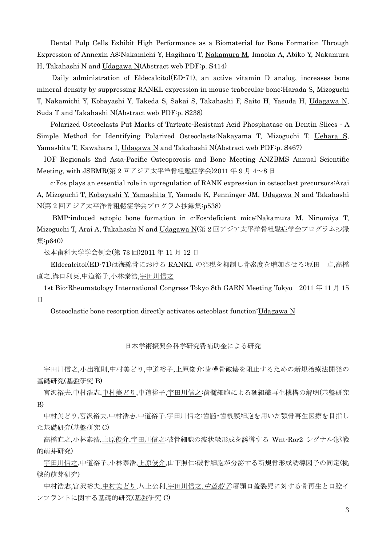Dental Pulp Cells Exhibit High Performance as a Biomaterial for Bone Formation Through Expression of Annexin A8:Nakamichi Y, Hagihara T, Nakamura M, Imaoka A, Abiko Y, Nakamura H, Takahashi N and Udagawa N(Abstract web PDF:p. S414)

 Daily administration of Eldecalcitol(ED-71), an active vitamin D analog, increases bone mineral density by suppressing RANKL expression in mouse trabecular bone:Harada S, Mizoguchi T, Nakamichi Y, Kobayashi Y, Takeda S, Sakai S, Takahashi F, Saito H, Yasuda H, Udagawa N, Suda T and Takahashi N(Abstract web PDF:p. S238)

 Polarized Osteoclasts Put Marks of Tartrate-Resistant Acid Phosphatase on Dentin Slices - A Simple Method for Identifying Polarized Osteoclasts:Nakayama T, Mizoguchi T, Uehara S, Yamashita T, Kawahara I, Udagawa N and Takahashi N(Abstract web PDF:p. S467)

IOF Regionals 2nd Asia-Pacific Osteoporosis and Bone Meeting ANZBMS Annual Scientific Meeting, with JSBMR(第 2 回アジア太平洋骨粗鬆症学会)2011 年 9 月 4~8 日

 c-Fos plays an essential role in up-regulation of RANK expression in osteoclast precursors:Arai A, Mizoguchi T, Kobayashi Y, Yamashita T, Yamada K, Penninger JM, Udagawa N and Takahashi N(第 2 回アジア太平洋骨粗鬆症学会プログラム抄録集:p538)

 BMP-induced ectopic bone formation in c-Fos-deficient mice:Nakamura M, Ninomiya T, Mizoguchi T, Arai A, Takahashi N and Udagawa N(第 2 回アジア太平洋骨粗鬆症学会プログラム抄録 集:p640)

松本歯科大学学会例会(第 73 回)2011 年 11 月 12 日

 Eldecalcitol(ED-71)は海綿骨における RANKL の発現を抑制し骨密度を増加させる:原田 卓,高橋 直之,溝口利英,中道裕子,小林泰浩,宇田川信之

1st Bio-Rheumatology International Congress Tokyo 8th GARN Meeting Tokyo 2011 年 11 月 15 日

Osteoclastic bone resorption directly activates osteoblast function: Udagawa N

## 日本学術振興会科学研究費補助金による研究

 宇田川信之,小出雅則,中村美どり,中道裕子,上原俊介:歯槽骨破壊を阻止するための新規治療法開発の 基礎研究(基盤研究 B)

 宮沢裕夫,中村浩志,中村美どり,中道裕子,宇田川信之:歯髄細胞による硬組織再生機構の解明(基盤研究 B)

 中村美どり,宮沢裕夫,中村浩志,中道裕子,宇田川信之:歯髄・歯根膜細胞を用いた顎骨再生医療を目指し た基礎研究(基盤研究 C)

 高橋直之,小林泰浩,上原俊介,宇田川信之:破骨細胞の波状縁形成を誘導する Wnt-Ror2 シグナル(挑戦 的萌芽研究)

 宇田川信之,中道裕子,小林泰浩,上原俊介,山下照仁:破骨細胞が分泌する新規骨形成誘導因子の同定(挑 戦的萌芽研究)

中村浩志,宮沢裕夫,中村美どり,八上公利,宇田川信之,*中道裕子*:唇顎口蓋裂児に対する骨再生と口腔イ ンプラントに関する基礎的研究(基盤研究 C)